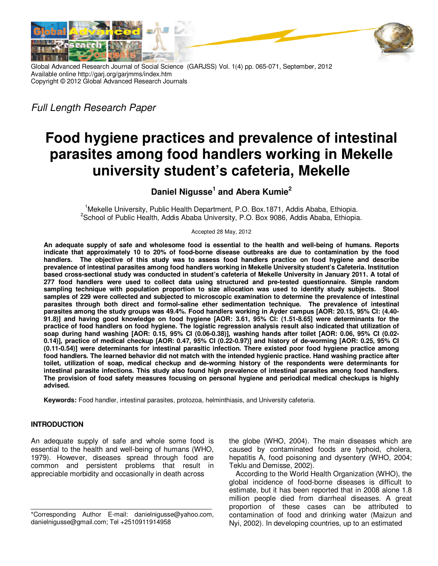



Global Advanced Research Journal of Social Science (GARJSS) Vol. 1(4) pp. 065-071, September, 2012 Available online http://garj.org/garjmms/index.htm Copyright © 2012 Global Advanced Research Journals

*Full Length Research Paper*

# **Food hygiene practices and prevalence of intestinal parasites among food handlers working in Mekelle university student's cafeteria, Mekelle**

**Daniel Nigusse<sup>1</sup> and Abera Kumie<sup>2</sup>**

<sup>1</sup>Mekelle University, Public Health Department, P.O. Box.1871, Addis Ababa, Ethiopia. <sup>2</sup>School of Public Health, Addis Ababa University, P.O. Box 9086, Addis Ababa, Ethiopia.

Accepted 28 May, 2012

**An adequate supply of safe and wholesome food is essential to the health and well-being of humans. Reports indicate that approximately 10 to 20% of food-borne disease outbreaks are due to contamination by the food handlers. The objective of this study was to assess food handlers practice on food hygiene and describe prevalence of intestinal parasites among food handlers working in Mekelle University student's Cafeteria. Institution based cross-sectional study was conducted in student's cafeteria of Mekelle University in January 2011. A total of 277 food handlers were used to collect data using structured and pre-tested questionnaire. Simple random sampling technique with population proportion to size allocation was used to identify study subjects. Stool samples of 229 were collected and subjected to microscopic examination to determine the prevalence of intestinal parasites through both direct and formol-saline ether sedimentation technique. The prevalence of intestinal parasites among the study groups was 49.4%. Food handlers working in Ayder campus [AOR: 20.15, 95% CI: (4.40- 91.8)] and having good knowledge on food hygiene [AOR: 3.61, 95% CI: (1.51-8.65] were determinants for the practice of food handlers on food hygiene. The logistic regression analysis result also indicated that utilization of soap during hand washing [AOR: 0.15, 95% CI (0.06-0.38)], washing hands after toilet [AOR: 0.06, 95% CI (0.02- 0.14)], practice of medical checkup [AOR: 0.47, 95% CI (0.22-0.97)] and history of de-worming [AOR: 0.25, 95% CI (0.11-0.54)] were determinants for intestinal parasitic infection. There existed poor food hygiene practice among food handlers. The learned behavior did not match with the intended hygienic practice. Hand washing practice after toilet, utilization of soap, medical checkup and de-worming history of the respondents were determinants for intestinal parasite infections. This study also found high prevalence of intestinal parasites among food handlers. The provision of food safety measures focusing on personal hygiene and periodical medical checkups is highly advised.** 

**Keywords:** Food handler, intestinal parasites, protozoa, helminthiasis, and University cafeteria.

# **INTRODUCTION**

An adequate supply of safe and whole some food is essential to the health and well-being of humans (WHO, 1979). However, diseases spread through food are common and persistent problems that result in appreciable morbidity and occasionally in death across

the globe (WHO, 2004). The main diseases which are caused by contaminated foods are typhoid, cholera, hepatitis A, food poisoning and dysentery (WHO, 2004; Teklu and Demisse, 2002).

According to the World Health Organization (WHO), the global incidence of food-borne diseases is difficult to estimate, but it has been reported that in 2008 alone 1.8 million people died from diarrheal diseases. A great proportion of these cases can be attributed to contamination of food and drinking water (Maizun and Nyi, 2002). In developing countries, up to an estimated

<sup>\*</sup>Corresponding Author E-mail: danielnigusse@yahoo.com, danielnigusse@gmail.com; Tel +2510911914958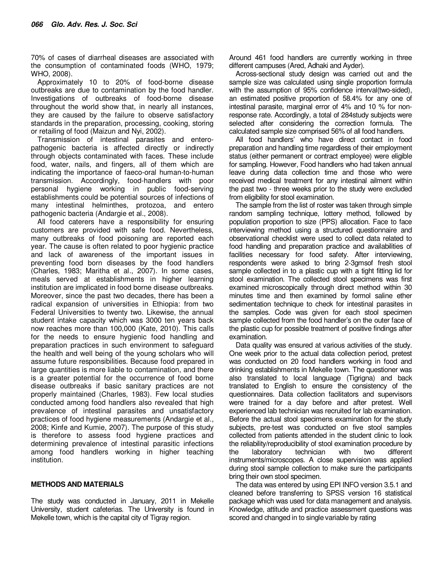70% of cases of diarrheal diseases are associated with the consumption of contaminated foods (WHO, 1979; WHO, 2008).

Approximately 10 to 20% of food-borne disease outbreaks are due to contamination by the food handler. Investigations of outbreaks of food-borne disease throughout the world show that, in nearly all instances, they are caused by the failure to observe satisfactory standards in the preparation, processing, cooking, storing or retailing of food (Maizun and Nyi, 2002).

Transmission of intestinal parasites and enteropathogenic bacteria is affected directly or indirectly through objects contaminated with faces. These include food, water, nails, and fingers, all of them which are indicating the importance of faeco-oral human-to-human transmission. Accordingly, food-handlers with poor personal hygiene working in public food-serving establishments could be potential sources of infections of many intestinal helminthes, protozoa, and entero pathogenic bacteria (Andargie et al., 2008).

All food caterers have a responsibility for ensuring customers are provided with safe food. Nevertheless, many outbreaks of food poisoning are reported each year. The cause is often related to poor hygienic practice and lack of awareness of the important issues in preventing food born diseases by the food handlers (Charles, 1983; Maritha et al., 2007). In some cases, meals served at establishments in higher learning institution are implicated in food borne disease outbreaks. Moreover, since the past two decades, there has been a radical expansion of universities in Ethiopia: from two Federal Universities to twenty two. Likewise, the annual student intake capacity which was 3000 ten years back now reaches more than 100,000 (Kate, 2010). This calls for the needs to ensure hygienic food handling and preparation practices in such environment to safeguard the health and well being of the young scholars who will assume future responsibilities. Because food prepared in large quantities is more liable to contamination, and there is a greater potential for the occurrence of food borne disease outbreaks if basic sanitary practices are not properly maintained (Charles, 1983). Few local studies conducted among food handlers also revealed that high prevalence of intestinal parasites and unsatisfactory practices of food hygiene measurements (Andargie et al., 2008; Kinfe and Kumie, 2007). The purpose of this study is therefore to assess food hygiene practices and determining prevalence of intestinal parasitic infections among food handlers working in higher teaching institution.

### **METHODS AND MATERIALS**

The study was conducted in January, 2011 in Mekelle University, student cafeterias. The University is found in Mekelle town, which is the capital city of Tigray region.

Around 461 food handlers are currently working in three different campuses (Ared, Adhaki and Ayder).

Across-sectional study design was carried out and the sample size was calculated using single proportion formula with the assumption of 95% confidence interval(two-sided), an estimated positive proportion of 58.4% for any one of intestinal parasite, marginal error of 4% and 10 % for nonresponse rate. Accordingly, a total of 284study subjects were selected after considering the correction formula. The calculated sample size comprised 56% of all food handlers.

All food handlers' who have direct contact in food preparation and handling time regardless of their employment status (either permanent or contract employee) were eligible for sampling. However, Food handlers who had taken annual leave during data collection time and those who were received medical treatment for any intestinal ailment within the past two - three weeks prior to the study were excluded from eligibility for stool examination.

The sample from the list of roster was taken through simple random sampling technique, lottery method, followed by population proportion to size (PPS) allocation. Face to face interviewing method using a structured questionnaire and observational checklist were used to collect data related to food handling and preparation practice and availabilities of facilities necessary for food safety. After interviewing, respondents were asked to bring 2-3gmsof fresh stool sample collected in to a plastic cup with a tight fitting lid for stool examination. The collected stool specimens was first examined microscopically through direct method within 30 minutes time and then examined by formol saline ether sedimentation technique to check for intestinal parasites in the samples. Code was given for each stool specimen sample collected from the food handler's on the outer face of the plastic cup for possible treatment of positive findings after examination.

Data quality was ensured at various activities of the study. One week prior to the actual data collection period, pretest was conducted on 20 food handlers working in food and drinking establishments in Mekelle town. The questioner was also translated to local language (Tigrigna) and back translated to English to ensure the consistency of the questionnaires. Data collection facilitators and supervisors were trained for a day before and after pretest. Well experienced lab technician was recruited for lab examination. Before the actual stool specimens examination for the study subjects, pre-test was conducted on five stool samples collected from patients attended in the student clinic to look the reliability/reproducibility of stool examination procedure by the laboratory technician with two different instruments/microscopes. A close supervision was applied during stool sample collection to make sure the participants bring their own stool specimen.

The data was entered by using EPI INFO version 3.5.1 and cleaned before transferring to SPSS version 16 statistical package which was used for data management and analysis. Knowledge, attitude and practice assessment questions was scored and changed in to single variable by rating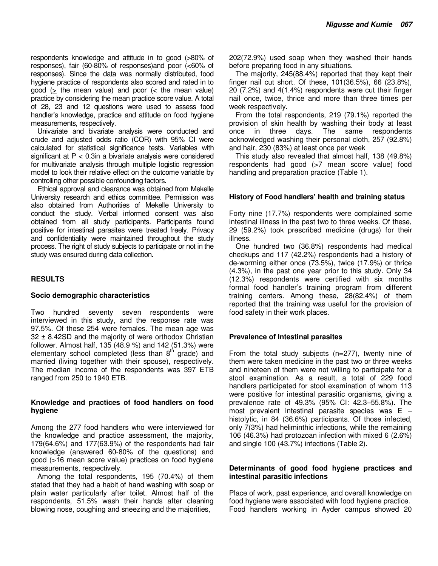respondents knowledge and attitude in to good (>80% of responses), fair (60-80% of responses)and poor (<60% of responses). Since the data was normally distributed, food hygiene practice of respondents also scored and rated in to good (> the mean value) and poor (< the mean value) practice by considering the mean practice score value. A total of 28, 23 and 12 questions were used to assess food handler's knowledge, practice and attitude on food hygiene measurements, respectively.

Univariate and bivariate analysis were conducted and crude and adjusted odds ratio (COR) with 95% CI were calculated for statistical significance tests. Variables with significant at P < 0.3in a bivariate analysis were considered for multivariate analysis through multiple logistic regression model to look their relative effect on the outcome variable by controlling other possible confounding factors.

Ethical approval and clearance was obtained from Mekelle University research and ethics committee. Permission was also obtained from Authorities of Mekelle University to conduct the study. Verbal informed consent was also obtained from all study participants. Participants found positive for intestinal parasites were treated freely. Privacy and confidentiality were maintained throughout the study process. The right of study subjects to participate or not in the study was ensured during data collection.

## **RESULTS**

#### **Socio demographic characteristics**

Two hundred seventy seven respondents were interviewed in this study, and the response rate was 97.5%. Of these 254 were females. The mean age was  $32 \pm 8.42$ SD and the majority of were orthodox Christian follower. Almost half, 135 (48.9 %) and 142 (51.3%) were elementary school completed (less than  $8<sup>th</sup>$  grade) and married (living together with their spouse), respectively. The median income of the respondents was 397 ETB ranged from 250 to 1940 ETB.

#### **Knowledge and practices of food handlers on food hygiene**

Among the 277 food handlers who were interviewed for the knowledge and practice assessment, the majority, 179(64.6%) and 177(63.9%) of the respondents had fair knowledge (answered 60-80% of the questions) and good (>16 mean score value) practices on food hygiene measurements, respectively.

Among the total respondents, 195 (70.4%) of them stated that they had a habit of hand washing with soap or plain water particularly after toilet. Almost half of the respondents, 51.5% wash their hands after cleaning blowing nose, coughing and sneezing and the majorities,

202(72.9%) used soap when they washed their hands before preparing food in any situations.

The majority, 245(88.4%) reported that they kept their finger nail cut short. Of these, 101(36.5%), 66 (23.8%), 20 (7.2%) and 4(1.4%) respondents were cut their finger nail once, twice, thrice and more than three times per week respectively.

From the total respondents, 219 (79.1%) reported the provision of skin health by washing their body at least once in three days. The same respondents acknowledged washing their personal cloth, 257 (92.8%) and hair, 230 (83%) at least once per week

This study also revealed that almost half, 138 (49.8%) respondents had good (>7 mean score value) food handling and preparation practice (Table 1).

### **History of Food handlers' health and training status**

Forty nine (17.7%) respondents were complained some intestinal illness in the past two to three weeks. Of these, 29 (59.2%) took prescribed medicine (drugs) for their illness.

One hundred two (36.8%) respondents had medical checkups and 117 (42.2%) respondents had a history of de-worming either once (73.5%), twice (17.9%) or thrice (4.3%), in the past one year prior to this study. Only 34 (12.3%) respondents were certified with six months formal food handler's training program from different training centers. Among these, 28(82.4%) of them reported that the training was useful for the provision of food safety in their work places.

### **Prevalence of Intestinal parasites**

From the total study subjects (n=277), twenty nine of them were taken medicine in the past two or three weeks and nineteen of them were not willing to participate for a stool examination. As a result, a total of 229 food handlers participated for stool examination of whom 113 were positive for intestinal parasitic organisms, giving a prevalence rate of 49.3% (95% CI: 42.3–55.8%). The most prevalent intestinal parasite species was  $E$ histolytic, in 84 (36.6%) participants. Of those infected, only 7(3%) had heliminthic infections, while the remaining 106 (46.3%) had protozoan infection with mixed 6 (2.6%) and single 100 (43.7%) infections (Table 2).

#### **Determinants of good food hygiene practices and intestinal parasitic infections**

Place of work, past experience, and overall knowledge on food hygiene were associated with food hygiene practice. Food handlers working in Ayder campus showed 20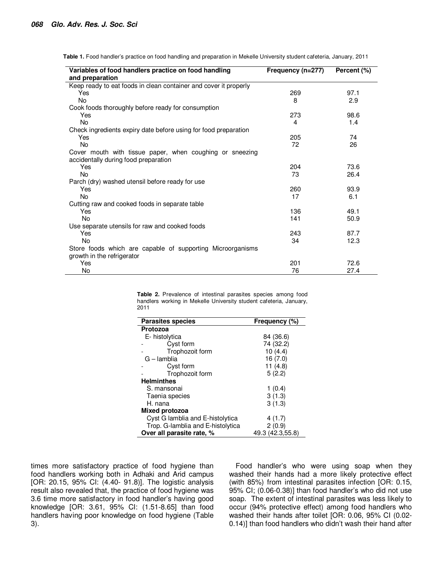| Variables of food handlers practice on food handling                                             | Frequency (n=277) | Percent (%) |
|--------------------------------------------------------------------------------------------------|-------------------|-------------|
| and preparation                                                                                  |                   |             |
| Keep ready to eat foods in clean container and cover it properly                                 |                   |             |
| Yes                                                                                              | 269               | 97.1        |
| No.                                                                                              | 8                 | 2.9         |
| Cook foods thoroughly before ready for consumption                                               |                   |             |
| Yes                                                                                              | 273               | 98.6        |
| <b>No</b>                                                                                        | 4                 | 1.4         |
| Check ingredients expiry date before using for food preparation                                  |                   |             |
| Yes                                                                                              | 205               | 74          |
| <b>No</b>                                                                                        | 72                | 26          |
| Cover mouth with tissue paper, when coughing or sneezing<br>accidentally during food preparation |                   |             |
| Yes                                                                                              | 204               | 73.6        |
| No.                                                                                              | 73                | 26.4        |
| Parch (dry) washed utensil before ready for use                                                  |                   |             |
| Yes                                                                                              | 260               | 93.9        |
| <b>No</b>                                                                                        | 17                | 6.1         |
| Cutting raw and cooked foods in separate table                                                   |                   |             |
| Yes                                                                                              | 136               | 49.1        |
| No                                                                                               | 141               | 50.9        |
| Use separate utensils for raw and cooked foods                                                   |                   |             |
| Yes                                                                                              | 243               | 87.7        |
| <b>No</b>                                                                                        | 34                | 12.3        |
| Store foods which are capable of supporting Microorganisms                                       |                   |             |
| growth in the refrigerator                                                                       |                   |             |
| Yes                                                                                              | 201               | 72.6        |
| No                                                                                               | 76                | 27.4        |

**Table 1.** Food handler's practice on food handling and preparation in Mekelle University student cafeteria, January, 2011

**Table 2.** Prevalence of intestinal parasites species among food handlers working in Mekelle University student cafeteria, January, 2011

| <b>Parasites species</b>          | Frequency (%)    |  |  |
|-----------------------------------|------------------|--|--|
| Protozoa                          |                  |  |  |
| E-histolytica                     | 84 (36.6)        |  |  |
| Cyst form                         | 74 (32.2)        |  |  |
| Trophozoit form                   | 10(4.4)          |  |  |
| G – lamblia                       | 16 (7.0)         |  |  |
| Cyst form                         | 11 $(4.8)$       |  |  |
| Trophozoit form                   | 5(2.2)           |  |  |
| <b>Helminthes</b>                 |                  |  |  |
| S. mansonai                       | 1(0.4)           |  |  |
| Taenia species                    | 3(1.3)           |  |  |
| H. nana                           | 3(1.3)           |  |  |
| <b>Mixed protozoa</b>             |                  |  |  |
| Cyst G lamblia and E-histolytica  | 4 (1.7)          |  |  |
| Trop. G-lamblia and E-histolytica | 2(0.9)           |  |  |
| Over all parasite rate, %         | 49.3 (42.3,55.8) |  |  |

times more satisfactory practice of food hygiene than food handlers working both in Adhaki and Arid campus [OR: 20.15, 95% CI: (4.40- 91.8)]. The logistic analysis result also revealed that, the practice of food hygiene was 3.6 time more satisfactory in food handler's having good knowledge [OR: 3.61, 95% CI: (1.51-8.65] than food handlers having poor knowledge on food hygiene (Table 3).

Food handler's who were using soap when they washed their hands had a more likely protective effect (with 85%) from intestinal parasites infection [OR: 0.15, 95% CI; (0.06-0.38)] than food handler's who did not use soap. The extent of intestinal parasites was less likely to occur (94% protective effect) among food handlers who washed their hands after toilet [OR: 0.06, 95% CI (0.02- 0.14)] than food handlers who didn't wash their hand after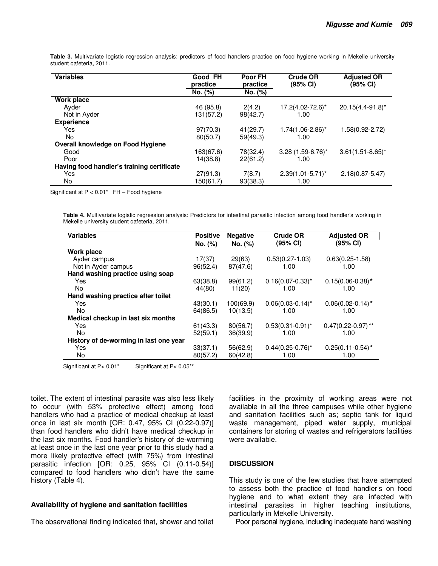| <b>Variables</b>                           | Good FH<br>practice<br>No. (%) | Poor FH<br>practice<br>No. (%) | <b>Crude OR</b><br>$(95% \, \text{Cl})$ | <b>Adjusted OR</b><br>$(95% \, \text{Cl})$ |
|--------------------------------------------|--------------------------------|--------------------------------|-----------------------------------------|--------------------------------------------|
| Work place                                 |                                |                                |                                         |                                            |
| Ayder<br>Not in Ayder                      | 46 (95.8)<br>131(57.2)         | 2(4.2)<br>98(42.7)             | 17.2(4.02-72.6)*<br>1.00                | 20.15(4.4-91.8)*                           |
| <b>Experience</b>                          |                                |                                |                                         |                                            |
| Yes                                        | 97(70.3)                       | 41(29.7)                       | $1.74(1.06-2.86)^{*}$                   | 1.58(0.92-2.72)                            |
| No.                                        | 80(50.7)                       | 59(49.3)                       | 1.00                                    |                                            |
| Overall knowledge on Food Hygiene          |                                |                                |                                         |                                            |
| Good                                       | 163(67.6)                      | 78(32.4)                       | $3.28(1.59-6.76)^{*}$                   | $3.61(1.51 - 8.65)^*$                      |
| Poor                                       | 14(38.8)                       | 22(61.2)                       | 1.00                                    |                                            |
| Having food handler's training certificate |                                |                                |                                         |                                            |
| Yes                                        | 27(91.3)                       | 7(8.7)                         | $2.39(1.01 - 5.71)^*$                   | $2.18(0.87 - 5.47)$                        |
| No.                                        | 150(61.7)                      | 93(38.3)                       | 1.00                                    |                                            |

**Table 3.** Multivariate logistic regression analysis: predictors of food handlers practice on food hygiene working in Mekelle university student cafeteria, 2011.

Significant at P < 0.01\* FH – Food hygiene

**Table 4.** Multivariate logistic regression analysis: Predictors for intestinal parasitic infection among food handler's working in Mekelle university student cafeteria, 2011.

| <b>Variables</b>                       | <b>Positive</b> | <b>Negative</b> | <b>Crude OR</b>       | <b>Adjusted OR</b>             |
|----------------------------------------|-----------------|-----------------|-----------------------|--------------------------------|
|                                        | No. (%)         | No. (%)         | (95% CI)              | (95% CI)                       |
| Work place                             |                 |                 |                       |                                |
| Ayder campus                           | 17(37)          | 29(63)          | $0.53(0.27-1.03)$     | $0.63(0.25-1.58)$              |
| Not in Ayder campus                    | 96(52.4)        | 87(47.6)        | 1.00                  | 1.00                           |
| Hand washing practice using soap       |                 |                 |                       |                                |
| Yes                                    | 63(38.8)        | 99(61.2)        | $0.16(0.07-0.33)^{*}$ | $0.15(0.06-0.38)$ *            |
| No.                                    | 44(80)          | 11(20)          | 1.00                  | 1.00                           |
| Hand washing practice after toilet     |                 |                 |                       |                                |
| Yes                                    | 43(30.1)        | 100(69.9)       | $0.06(0.03-0.14)^*$   | $0.06(0.02 - 0.14)$ *          |
| No                                     | 64(86.5)        | 10(13.5)        | 1.00                  | 1.00                           |
| Medical checkup in last six months     |                 |                 |                       |                                |
| Yes                                    | 61(43.3)        | 80(56.7)        | $0.53(0.31-0.91)^{*}$ | $0.47(0.22-0.97)$ **           |
| No.                                    | 52(59.1)        | 36(39.9)        | 1.00                  | 1.00                           |
| History of de-worming in last one year |                 |                 |                       |                                |
| Yes                                    | 33(37.1)        | 56(62.9)        | $0.44(0.25-0.76)^{*}$ | $0.25(0.11-0.54)$ <sup>*</sup> |
| No                                     | 80(57.2)        | 60(42.8)        | 1.00                  | 1.00                           |

Significant at P< 0.01\* Significant at P< 0.05\*\*

toilet. The extent of intestinal parasite was also less likely to occur (with 53% protective effect) among food handlers who had a practice of medical checkup at least once in last six month [OR: 0.47, 95% CI (0.22-0.97)] than food handlers who didn't have medical checkup in the last six months. Food handler's history of de-worming at least once in the last one year prior to this study had a more likely protective effect (with 75%) from intestinal parasitic infection [OR: 0.25, 95% CI (0.11-0.54)] compared to food handlers who didn't have the same history (Table 4).

### **Availability of hygiene and sanitation facilities**

The observational finding indicated that, shower and toilet

facilities in the proximity of working areas were not available in all the three campuses while other hygiene and sanitation facilities such as; septic tank for liquid waste management, piped water supply, municipal containers for storing of wastes and refrigerators facilities were available.

#### **DISCUSSION**

This study is one of the few studies that have attempted to assess both the practice of food handler's on food hygiene and to what extent they are infected with intestinal parasites in higher teaching institutions, particularly in Mekelle University.

Poor personal hygiene, including inadequate hand washing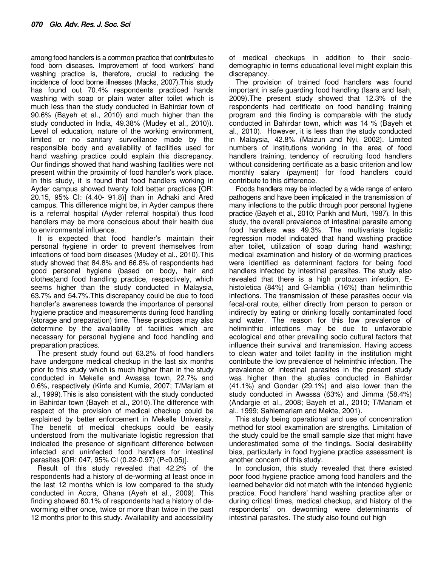among food handlers is a common practice that contributes to food born diseases. Improvement of food workers' hand washing practice is, therefore, crucial to reducing the incidence of food borne illnesses (Macks, 2007).This study has found out 70.4% respondents practiced hands washing with soap or plain water after toilet which is much less than the study conducted in Bahirdar town of 90.6% (Bayeh et al., 2010) and much higher than the study conducted in India, 49.38% (Mudey et al., 2010)). Level of education, nature of the working environment, limited or no sanitary surveillance made by the responsible body and availability of facilities used for hand washing practice could explain this discrepancy. Our findings showed that hand washing facilities were not present within the proximity of food handler's work place. In this study, it is found that food handlers working in Ayder campus showed twenty fold better practices [OR: 20.15, 95% CI: (4.40- 91.8)] than in Adhaki and Ared campus. This difference might be, in Ayder campus there is a referral hospital (Ayder referral hospital) thus food handlers may be more conscious about their health due to environmental influence.

It is expected that food handler's maintain their personal hygiene in order to prevent themselves from infections of food born diseases (Mudey et al., 2010).This study showed that 84.8% and 66.8% of respondents had good personal hygiene (based on body, hair and clothes)and food handling practice, respectively, which seems higher than the study conducted in Malaysia, 63.7% and 54.7%.This discrepancy could be due to food handler's awareness towards the importance of personal hygiene practice and measurements during food handling (storage and preparation) time. These practices may also determine by the availability of facilities which are necessary for personal hygiene and food handling and preparation practices.

The present study found out 63.2% of food handlers have undergone medical checkup in the last six months prior to this study which is much higher than in the study conducted in Mekelle and Awassa town, 22.7% and 0.6%, respectively (Kinfe and Kumie, 2007; T/Mariam et al., 1999).This is also consistent with the study conducted in Bahirdar town (Bayeh et al., 2010).The difference with respect of the provision of medical checkup could be explained by better enforcement in Mekelle University. The benefit of medical checkups could be easily understood from the multivariate logistic regression that indicated the presence of significant difference between infected and uninfected food handlers for intestinal parasites [OR: 047, 95% CI (0.22-0.97) (P<0.05)].

Result of this study revealed that 42.2% of the respondents had a history of de-worming at least once in the last 12 months which is low compared to the study conducted in Accra, Ghana (Ayeh et al., 2009). This finding showed 60.1% of respondents had a history of deworming either once, twice or more than twice in the past 12 months prior to this study. Availability and accessibility of medical checkups in addition to their sociodemographic in terms educational level might explain this discrepancy.

The provision of trained food handlers was found important in safe guarding food handling (Isara and Isah, 2009).The present study showed that 12.3% of the respondents had certificate on food handling training program and this finding is comparable with the study conducted in Bahirdar town, which was 14 % (Bayeh et al., 2010). However, it is less than the study conducted in Malaysia, 42.8% (Maizun and Nyi, 2002). Limited numbers of institutions working in the area of food handlers training, tendency of recruiting food handlers without considering certificate as a basic criterion and low monthly salary (payment) for food handlers could contribute to this difference.

Foods handlers may be infected by a wide range of entero pathogens and have been implicated in the transmission of many infections to the public through poor personal hygiene practice (Bayeh et al., 2010; Parikh and Murti, 1987). In this study, the overall prevalence of intestinal parasite among food handlers was 49.3%. The multivariate logistic regression model indicated that hand washing practice after toilet, utilization of soap during hand washing; medical examination and history of de-worming practices were identified as determinant factors for being food handlers infected by intestinal parasites. The study also revealed that there is a high protozoan infection, Ehistoletica (84%) and G-lamblia (16%) than heliminthic infections. The transmission of these parasites occur via fecal-oral route, either directly from person to person or indirectly by eating or drinking focally contaminated food and water. The reason for this low prevalence of heliminthic infections may be due to unfavorable ecological and other prevailing socio cultural factors that influence their survival and transmission. Having access to clean water and toilet facility in the institution might contribute the low prevalence of helminthic infection. The prevalence of intestinal parasites in the present study was higher than the studies conducted in Bahirdar (41.1%) and Gondar (29.1%) and also lower than the study conducted in Awassa (63%) and Jimma (58.4%) (Andargie et al., 2008; Bayeh et al., 2010; T/Mariam et al., 1999; Sahlemariam and Mekte, 2001).

This study being operational and use of concentration method for stool examination are strengths. Limitation of the study could be the small sample size that might have underestimated some of the findings. Social desirability bias, particularly in food hygiene practice assessment is another concern of this study.

In conclusion, this study revealed that there existed poor food hygiene practice among food handlers and the learned behavior did not match with the intended hygienic practice. Food handlers' hand washing practice after or during critical times, medical checkup, and history of the respondents' on deworming were determinants of intestinal parasites. The study also found out high